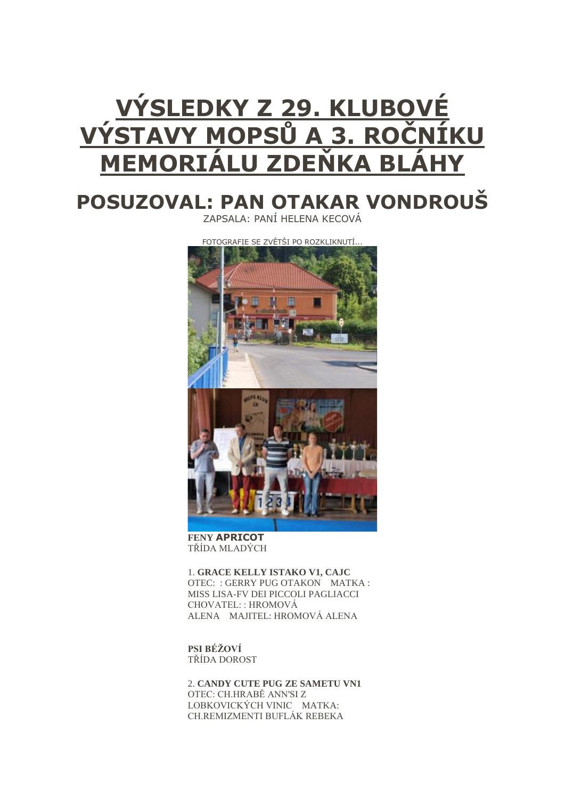# **VÝSLEDKY Z 29. KLUBOVÉ VÝSTAVY MOPSŮ A 3. ROČNÍKU MEMORIÁLU ZDEŇKA BLÁHY**

# **POSUZOVAL: PAN OTAKAR VONDROUŠ**

ZAPSALA: PANÍ HELENA KECOVÁ

FOTOGRAFIE SE ZVĚTŠI PO ROZKLIKNUTÍ...



**FENY APRICOT** TŘÍDA MLADÝCH

1. **GRACE KELLY ISTAKO V1, CAJC** OTEC: : GERRY PUG OTAKON MATKA : MISS LISA-FV DEI PICCOLI PAGLIACCI CHOVATEL: : HROMOVÁ ALENA MAJITEL: HROMOVÁ ALENA

**PSI BÉŽOVÍ** TŘÍDA DOROST

2. **CANDY CUTE PUG ZE SAMETU VN1** OTEC: CH.HRABĚ ANN'SI Z LOBKOVICKÝCH VINIC MATKA: CH.REMIZMENTI BUFLÁK REBEKA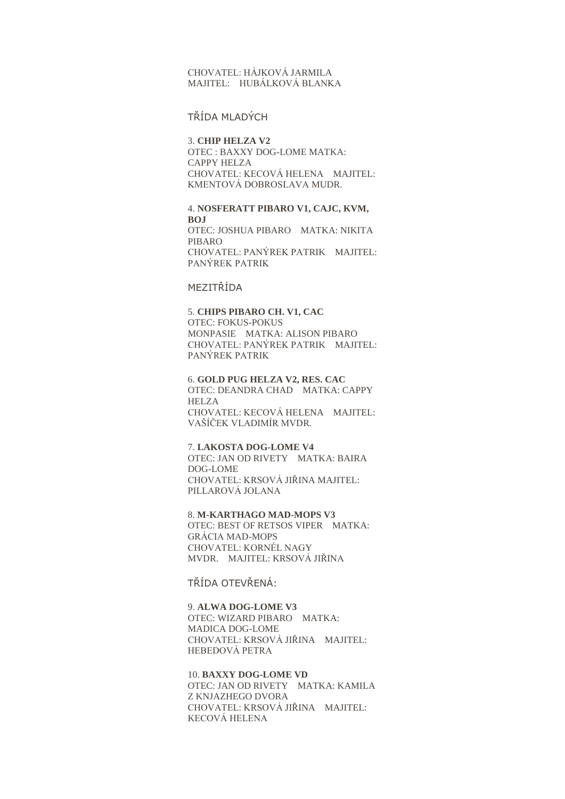#### CHOVATEL: HÁJKOVÁ JARMILA MAJITEL: HUBÁLKOVÁ BLANKA

# TŘÍDA MLADÝCH

3. **CHIP HELZA V2** OTEC : BAXXY DOG-LOME MATKA: CAPPY HELZA CHOVATEL: KECOVÁ HELENA MAJITEL: KMENTOVÁ DOBROSLAVA MUDR.

4. **NOSFERATT PIBARO V1, CAJC, KVM, BOJ** OTEC: JOSHUA PIBARO MATKA: NIKITA PIBARO CHOVATEL: PANÝREK PATRIK MAJITEL: PANÝREK PATRIK

## MEZITŘÍDA

5. **CHIPS PIBARO CH. V1, CAC** OTEC: FOKUS-POKUS MONPASIE MATKA: ALISON PIBARO CHOVATEL: PANÝREK PATRIK MAJITEL: PANÝREK PATRIK

6. **GOLD PUG HELZA V2, RES. CAC** OTEC: DEANDRA CHAD MATKA: CAPPY **HELZA** CHOVATEL: KECOVÁ HELENA MAJITEL: VAŠÍČEK VLADIMÍR MVDR.

7. **LAKOSTA DOG-LOME V4** OTEC: JAN OD RIVETY MATKA: BAIRA DOG-LOME CHOVATEL: KRSOVÁ JIŘINA MAJITEL: PILLAROVÁ JOLANA

8. **M-KARTHAGO MAD-MOPS V3** OTEC: BEST OF RETSOS VIPER MATKA: GRÁCIA MAD-MOPS CHOVATEL: KORNÉL NAGY MVDR. MAJITEL: KRSOVÁ JIŘINA

TŘÍDA OTEVŘENÁ:

9. **ALWA DOG-LOME V3** OTEC: WIZARD PIBARO MATKA: MADICA DOG-LOME CHOVATEL: KRSOVÁ JIŘINA MAJITEL: HEBEDOVÁ PETRA

10. **BAXXY DOG-LOME VD** OTEC: JAN OD RIVETY MATKA: KAMILA Z KNJAZHEGO DVORA CHOVATEL: KRSOVÁ JIŘINA MAJITEL: KECOVÁ HELENA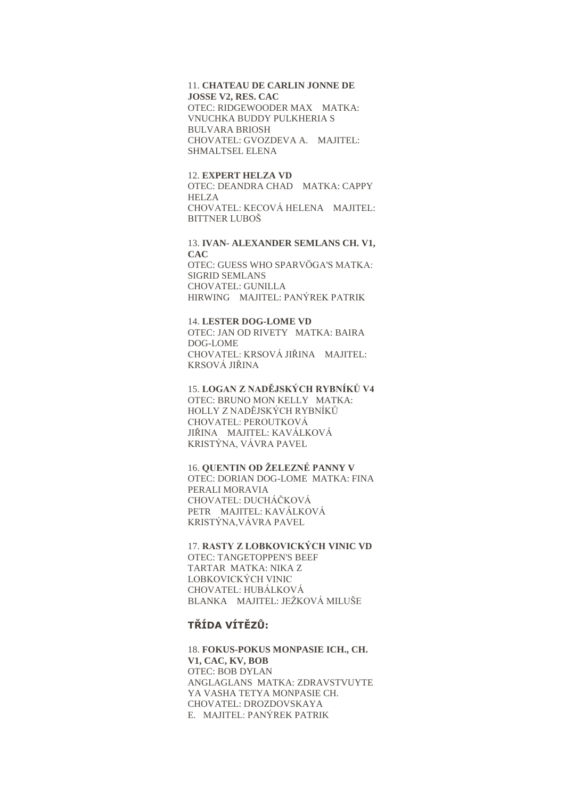#### 11. **CHATEAU DE CARLIN JONNE DE JOSSE V2, RES. CAC** OTEC: RIDGEWOODER MAX MATKA: VNUCHKA BUDDY PULKHERIA S BULVARA BRIOSH CHOVATEL: GVOZDEVA A. MAJITEL: SHMALTSEL ELENA

12. **EXPERT HELZA VD** OTEC: DEANDRA CHAD MATKA: CAPPY **HELZA** CHOVATEL: KECOVÁ HELENA MAJITEL: BITTNER LUBOŠ

13. **IVAN- ALEXANDER SEMLANS CH. V1, CAC** OTEC: GUESS WHO SPARVÖGA'S MATKA: SIGRID SEMLANS CHOVATEL: GUNILLA HIRWING MAJITEL: PANÝREK PATRIK

14. **LESTER DOG-LOME VD** OTEC: JAN OD RIVETY MATKA: BAIRA DOG-LOME CHOVATEL: KRSOVÁ JIŘINA MAJITEL: KRSOVÁ JIŘINA

15. **LOGAN Z NADĚJSKÝCH RYBNÍKŮ V4** OTEC: BRUNO MON KELLY MATKA: HOLLY Z NADĚJSKÝCH RYBNÍKŮ CHOVATEL: PEROUTKOVÁ JIŘINA MAJITEL: KAVÁLKOVÁ KRISTÝNA, VÁVRA PAVEL

16. **QUENTIN OD ŽELEZNÉ PANNY V** OTEC: DORIAN DOG-LOME MATKA: FINA PERALI MORAVIA CHOVATEL: DUCHÁČKOVÁ PETR MAJITEL: KAVÁLKOVÁ KRISTÝNA,VÁVRA PAVEL

17. **RASTY Z LOBKOVICKÝCH VINIC VD** OTEC: TANGETOPPEN'S BEEF TARTAR MATKA: NIKA Z LOBKOVICKÝCH VINIC CHOVATEL: HUBÁLKOVÁ BLANKA MAJITEL: JEŽKOVÁ MILUŠE

# **TŘÍDA VÍTĚZŮ:**

18. **FOKUS-POKUS MONPASIE ICH., CH. V1, CAC, KV, BOB** OTEC: BOB DYLAN ANGLAGLANS MATKA: ZDRAVSTVUYTE YA VASHA TETYA MONPASIE CH. CHOVATEL: DROZDOVSKAYA E. MAJITEL: PANÝREK PATRIK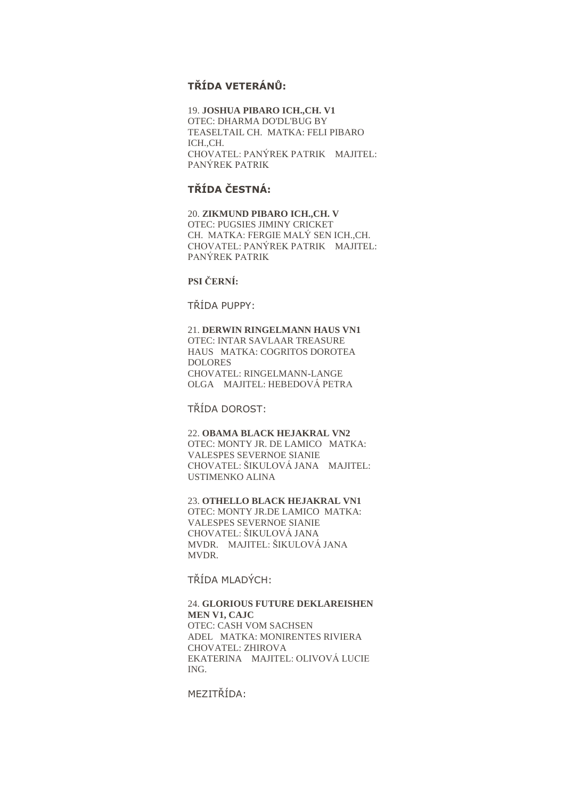## **TŘÍDA VETERÁNŮ:**

19. **JOSHUA PIBARO ICH.,CH. V1** OTEC: DHARMA DO'DL'BUG BY TEASELTAIL CH. MATKA: FELI PIBARO ICH.,CH. CHOVATEL: PANÝREK PATRIK MAJITEL: PANÝREK PATRIK

## **TŘÍDA ČESTNÁ:**

20. **ZIKMUND PIBARO ICH.,CH. V** OTEC: PUGSIES JIMINY CRICKET CH. MATKA: FERGIE MALÝ SEN ICH.,CH. CHOVATEL: PANÝREK PATRIK MAJITEL: PANÝREK PATRIK

**PSI ČERNÍ:**

TŘÍDA PUPPY:

21. **DERWIN RINGELMANN HAUS VN1** OTEC: INTAR SAVLAAR TREASURE HAUS MATKA: COGRITOS DOROTEA DOLORES CHOVATEL: RINGELMANN-LANGE OLGA MAJITEL: HEBEDOVÁ PETRA

TŘÍDA DOROST:

#### 22. **OBAMA BLACK HEJAKRAL VN2**

OTEC: MONTY JR. DE LAMICO MATKA: VALESPES SEVERNOE SIANIE CHOVATEL: ŠIKULOVÁ JANA MAJITEL: USTIMENKO ALINA

#### 23. **OTHELLO BLACK HEJAKRAL VN1**

OTEC: MONTY JR.DE LAMICO MATKA: VALESPES SEVERNOE SIANIE CHOVATEL: ŠIKULOVÁ JANA MVDR. MAJITEL: ŠIKULOVÁ JANA MVDR.

TŘÍDA MLADÝCH:

#### 24. **GLORIOUS FUTURE DEKLAREISHEN MEN V1, CAJC**

OTEC: CASH VOM SACHSEN ADEL MATKA: MONIRENTES RIVIERA CHOVATEL: ZHIROVA EKATERINA MAJITEL: OLIVOVÁ LUCIE ING.

MEZITŘÍDA: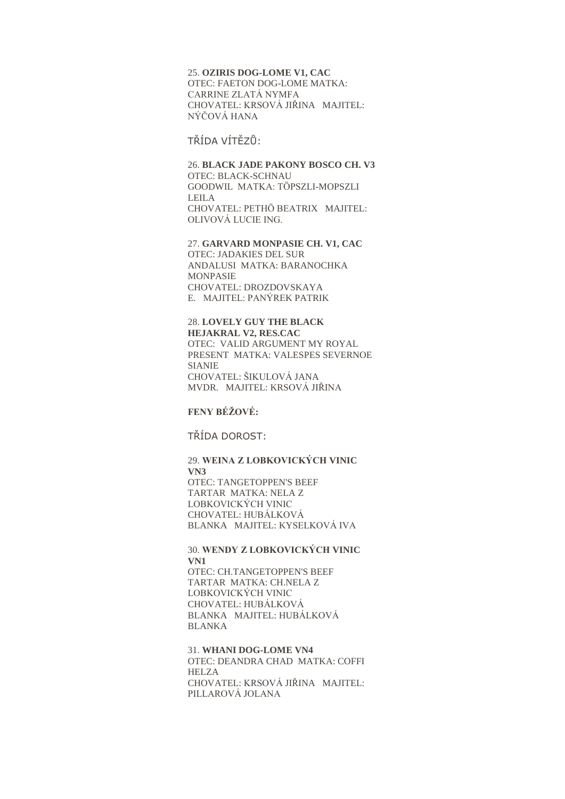25. **OZIRIS DOG-LOME V1, CAC** OTEC: FAETON DOG-LOME MATKA: CARRINE ZLATÁ NYMFA CHOVATEL: KRSOVÁ JIŘINA MAJITEL: NÝČOVÁ HANA

TŘÍDA VÍTĚZŮ:

26. **BLACK JADE PAKONY BOSCO CH. V3** OTEC: BLACK-SCHNAU GOODWIL MATKA: TÖPSZLI-MOPSZLI LEILA CHOVATEL: PETHÖ BEATRIX MAJITEL: OLIVOVÁ LUCIE ING.

27. **GARVARD MONPASIE CH. V1, CAC** OTEC: JADAKIES DEL SUR ANDALUSI MATKA: BARANOCHKA MONPASIE CHOVATEL: DROZDOVSKAYA E. MAJITEL: PANÝREK PATRIK

28. **LOVELY GUY THE BLACK HEJAKRAL V2, RES.CAC** OTEC: VALID ARGUMENT MY ROYAL PRESENT MATKA: VALESPES SEVERNOE SIANIE CHOVATEL: ŠIKULOVÁ JANA MVDR. MAJITEL: KRSOVÁ JIŘINA

**FENY BÉŽOVÉ:**

TŘÍDA DOROST:

29. **WEINA Z LOBKOVICKÝCH VINIC VN3** OTEC: TANGETOPPEN'S BEEF TARTAR MATKA: NELA Z LOBKOVICKÝCH VINIC CHOVATEL: HUBÁLKOVÁ BLANKA MAJITEL: KYSELKOVÁ IVA

30. **WENDY Z LOBKOVICKÝCH VINIC VN1**

OTEC: CH.TANGETOPPEN'S BEEF TARTAR MATKA: CH.NELA Z LOBKOVICKÝCH VINIC CHOVATEL: HUBÁLKOVÁ BLANKA MAJITEL: HUBÁLKOVÁ BLANKA

31. **WHANI DOG-LOME VN4** OTEC: DEANDRA CHAD MATKA: COFFI HELZA CHOVATEL: KRSOVÁ JIŘINA MAJITEL: PILLAROVÁ JOLANA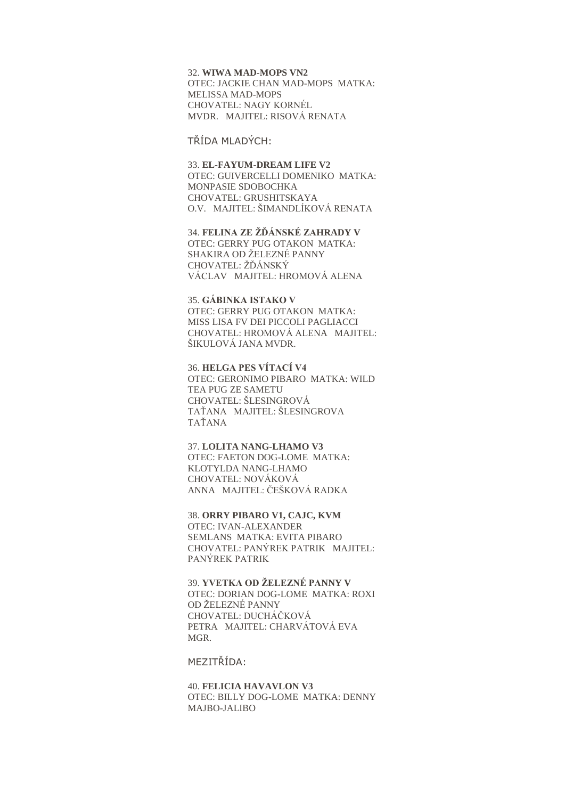32. **WIWA MAD-MOPS VN2** OTEC: JACKIE CHAN MAD-MOPS MATKA: MELISSA MAD-MOPS CHOVATEL: NAGY KORNÉL MVDR. MAJITEL: RISOVÁ RENATA

TŘÍDA MLADÝCH:

33. **EL-FAYUM-DREAM LIFE V2** OTEC: GUIVERCELLI DOMENIKO MATKA: MONPASIE SDOBOCHKA CHOVATEL: GRUSHITSKAYA O.V. MAJITEL: ŠIMANDLÍKOVÁ RENATA

34. **FELINA ZE ŽĎÁNSKÉ ZAHRADY V** OTEC: GERRY PUG OTAKON MATKA: SHAKIRA OD ŽELEZNÉ PANNY CHOVATEL: ŽĎÁNSKÝ VÁCLAV MAJITEL: HROMOVÁ ALENA

35. **GÁBINKA ISTAKO V** OTEC: GERRY PUG OTAKON MATKA: MISS LISA FV DEI PICCOLI PAGLIACCI CHOVATEL: HROMOVÁ ALENA MAJITEL: ŠIKULOVÁ JANA MVDR.

36. **HELGA PES VÍTACÍ V4** OTEC: GERONIMO PIBARO MATKA: WILD TEA PUG ZE SAMETU CHOVATEL: ŠLESINGROVÁ TAŤANA MAJITEL: ŠLESINGROVA TAŤANA

37. **LOLITA NANG-LHAMO V3** OTEC: FAETON DOG-LOME MATKA: KLOTYLDA NANG-LHAMO CHOVATEL: NOVÁKOVÁ ANNA MAJITEL: ČEŠKOVÁ RADKA

38. **ORRY PIBARO V1, CAJC, KVM** OTEC: IVAN-ALEXANDER SEMLANS MATKA: EVITA PIBARO CHOVATEL: PANÝREK PATRIK MAJITEL: PANÝREK PATRIK

39. **YVETKA OD ŽELEZNÉ PANNY V** OTEC: DORIAN DOG-LOME MATKA: ROXI OD ŽELEZNÉ PANNY CHOVATEL: DUCHÁČKOVÁ PETRA MAJITEL: CHARVÁTOVÁ EVA MGR.

MEZITŘÍDA:

40. **FELICIA HAVAVLON V3** OTEC: BILLY DOG-LOME MATKA: DENNY MAJBO-JALIBO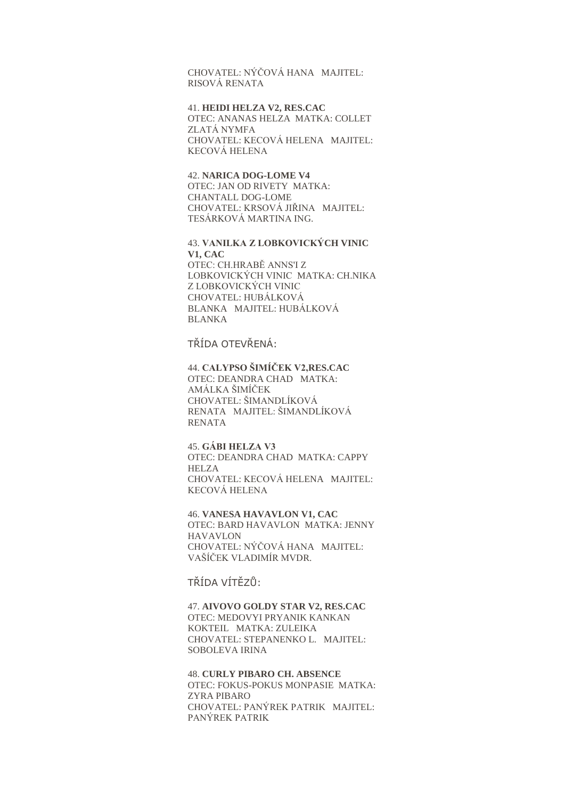CHOVATEL: NÝČOVÁ HANA MAJITEL: RISOVÁ RENATA

41. **HEIDI HELZA V2, RES.CAC** OTEC: ANANAS HELZA MATKA: COLLET ZLATÁ NYMFA CHOVATEL: KECOVÁ HELENA MAJITEL: KECOVÁ HELENA

42. **NARICA DOG-LOME V4** OTEC: JAN OD RIVETY MATKA: CHANTALL DOG-LOME CHOVATEL: KRSOVÁ JIŘINA MAJITEL: TESÁRKOVÁ MARTINA ING.

43. **VANILKA Z LOBKOVICKÝCH VINIC V1, CAC** OTEC: CH.HRABĚ ANNS'I Z LOBKOVICKÝCH VINIC MATKA: CH.NIKA Z LOBKOVICKÝCH VINIC CHOVATEL: HUBÁLKOVÁ BLANKA MAJITEL: HUBÁLKOVÁ BLANKA

TŘÍDA OTEVŘENÁ:

44. **CALYPSO ŠIMÍČEK V2,RES.CAC** OTEC: DEANDRA CHAD MATKA: AMÁLKA ŠIMÍČEK CHOVATEL: ŠIMANDLÍKOVÁ RENATA MAJITEL: ŠIMANDLÍKOVÁ RENATA

45. **GÁBI HELZA V3** OTEC: DEANDRA CHAD MATKA: CAPPY **HELZA** CHOVATEL: KECOVÁ HELENA MAJITEL: KECOVÁ HELENA

46. **VANESA HAVAVLON V1, CAC** OTEC: BARD HAVAVLON MATKA: JENNY HAVAVLON CHOVATEL: NÝČOVÁ HANA MAJITEL: VAŠÍČEK VLADIMÍR MVDR.

TŘÍDA VÍTĚZŮ:

47. **AIVOVO GOLDY STAR V2, RES.CAC** OTEC: MEDOVYI PRYANIK KANKAN KOKTEIL MATKA: ZULEIKA CHOVATEL: STEPANENKO L. MAJITEL: SOBOLEVA IRINA

48. **CURLY PIBARO CH. ABSENCE** OTEC: FOKUS-POKUS MONPASIE MATKA: ZYRA PIBARO CHOVATEL: PANÝREK PATRIK MAJITEL: PANÝREK PATRIK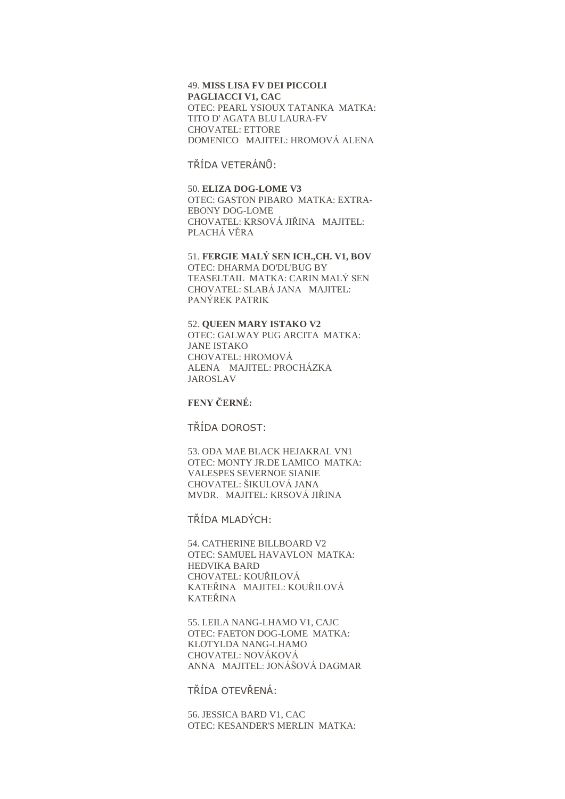49. **MISS LISA FV DEI PICCOLI PAGLIACCI V1, CAC** OTEC: PEARL YSIOUX TATANKA MATKA: TITO D' AGATA BLU LAURA-FV CHOVATEL: ETTORE DOMENICO MAJITEL: HROMOVÁ ALENA

TŘÍDA VETERÁNŮ:

50. **ELIZA DOG-LOME V3** OTEC: GASTON PIBARO MATKA: EXTRA-EBONY DOG-LOME CHOVATEL: KRSOVÁ JIŘINA MAJITEL: PLACHÁ VĚRA

51. **FERGIE MALÝ SEN ICH.,CH. V1, BOV** OTEC: DHARMA DO'DL'BUG BY TEASELTAIL MATKA: CARIN MALÝ SEN CHOVATEL: SLABÁ JANA MAJITEL: PANÝREK PATRIK

52. **QUEEN MARY ISTAKO V2** OTEC: GALWAY PUG ARCITA MATKA: JANE ISTAKO CHOVATEL: HROMOVÁ ALENA MAJITEL: PROCHÁZKA JAROSLAV

**FENY ČERNÉ:**

TŘÍDA DOROST:

53. ODA MAE BLACK HEJAKRAL VN1 OTEC: MONTY JR.DE LAMICO MATKA: VALESPES SEVERNOE SIANIE CHOVATEL: ŠIKULOVÁ JANA MVDR. MAJITEL: KRSOVÁ JIŘINA

TŘÍDA MLADÝCH:

54. CATHERINE BILLBOARD V2 OTEC: SAMUEL HAVAVLON MATKA: HEDVIKA BARD CHOVATEL: KOUŘILOVÁ KATEŘINA MAJITEL: KOUŘILOVÁ KATEŘINA

55. LEILA NANG-LHAMO V1, CAJC OTEC: FAETON DOG-LOME MATKA: KLOTYLDA NANG-LHAMO CHOVATEL: NOVÁKOVÁ ANNA MAJITEL: JONÁŠOVÁ DAGMAR

TŘÍDA OTEVŘENÁ:

56. JESSICA BARD V1, CAC OTEC: KESANDER'S MERLIN MATKA: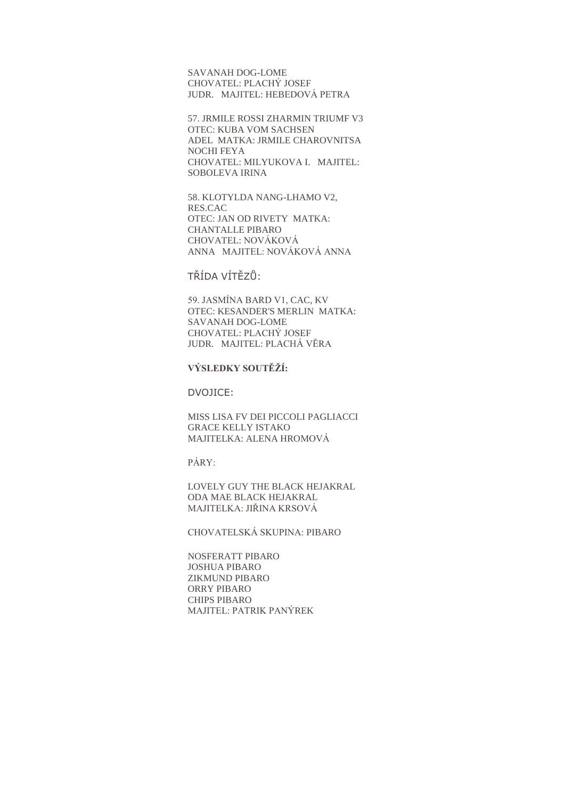SAVANAH DOG-LOME CHOVATEL: PLACHÝ JOSEF JUDR. MAJITEL: HEBEDOVÁ PETRA

57. JRMILE ROSSI ZHARMIN TRIUMF V3 OTEC: KUBA VOM SACHSEN ADEL MATKA: JRMILE CHAROVNITSA NOCHI FEYA CHOVATEL: MILYUKOVA I. MAJITEL: SOBOLEVA IRINA

58. KLOTYLDA NANG-LHAMO V2, RES.CAC OTEC: JAN OD RIVETY MATKA: CHANTALLE PIBARO CHOVATEL: NOVÁKOVÁ ANNA MAJITEL: NOVÁKOVÁ ANNA

TŘÍDA VÍTĚZŮ:

59. JASMÍNA BARD V1, CAC, KV OTEC: KESANDER'S MERLIN MATKA: SAVANAH DOG-LOME CHOVATEL: PLACHÝ JOSEF JUDR. MAJITEL: PLACHÁ VĚRA

**VÝSLEDKY SOUTĚŽÍ:**

DVOJICE:

MISS LISA FV DEI PICCOLI PAGLIACCI GRACE KELLY ISTAKO MAJITELKA: ALENA HROMOVÁ

PÁRY:

LOVELY GUY THE BLACK HEJAKRAL ODA MAE BLACK HEJAKRAL MAJITELKA: JIŘINA KRSOVÁ

CHOVATELSKÁ SKUPINA: PIBARO

NOSFERATT PIBARO JOSHUA PIBARO ZIKMUND PIBARO ORRY PIBARO CHIPS PIBARO MAJITEL: PATRIK PANÝREK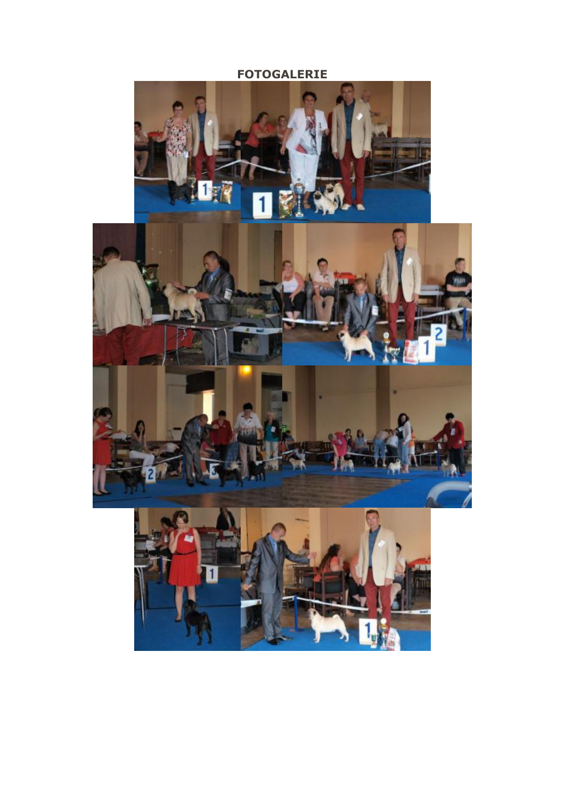# **FOTOGALERIE**





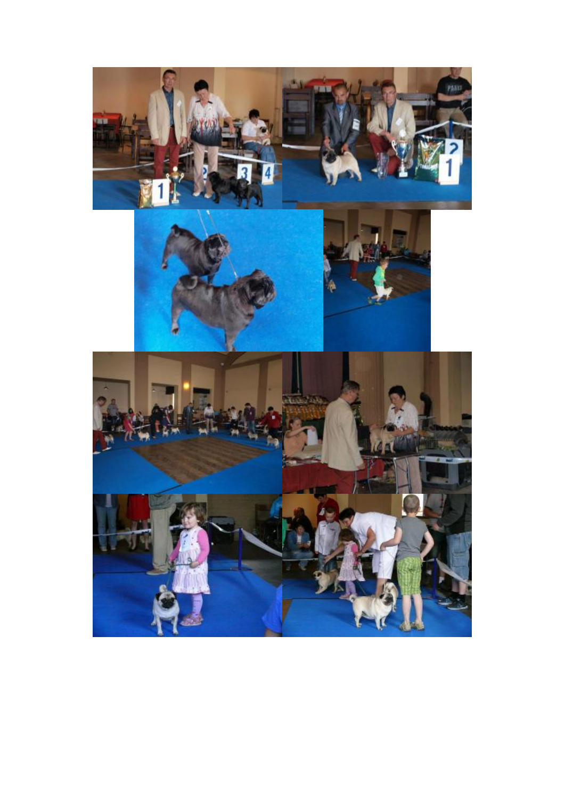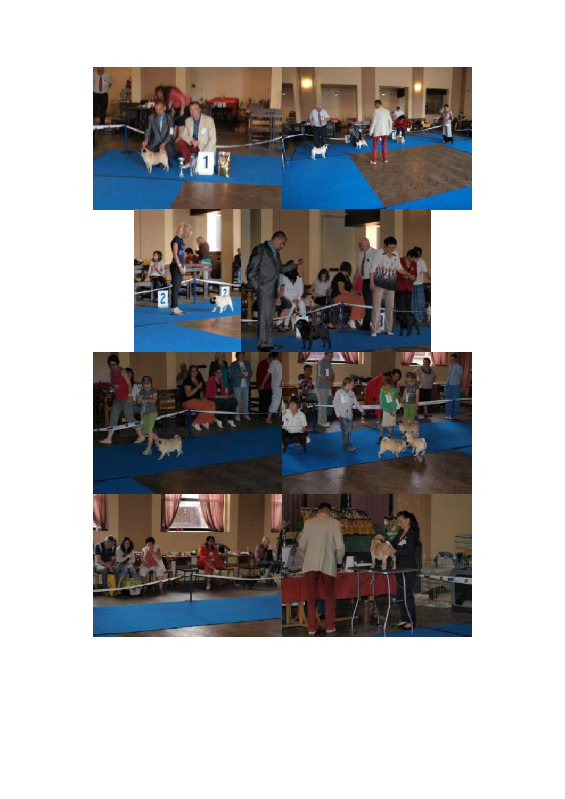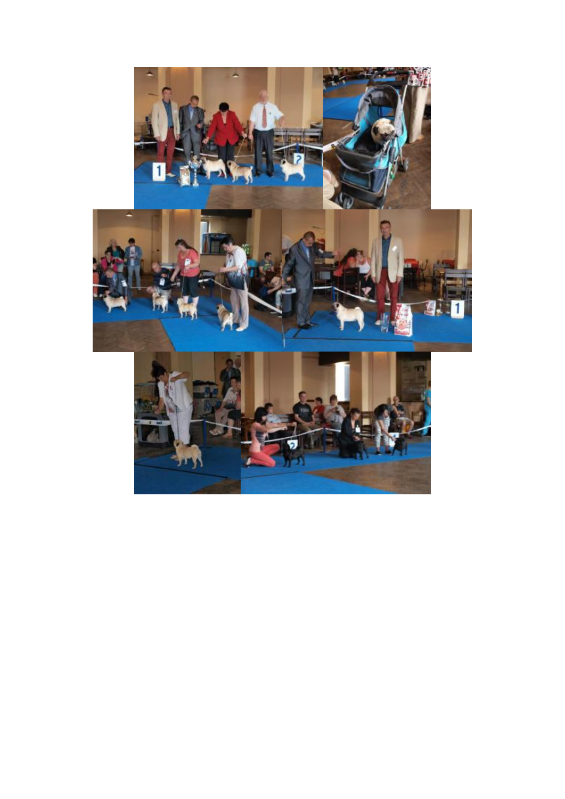